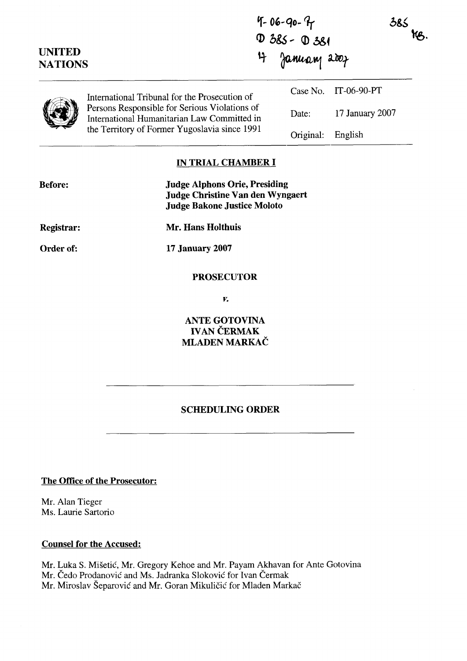|                                 | 4-06-90-9<br>D 385- D 381                                                                    |                |                      | 385<br>KB. |  |
|---------------------------------|----------------------------------------------------------------------------------------------|----------------|----------------------|------------|--|
| <b>UNITED</b><br><b>NATIONS</b> |                                                                                              | 4 January 2007 |                      |            |  |
|                                 | International Tribunal for the Prosecution of                                                |                | Case No. IT-06-90-PT |            |  |
|                                 | Persons Responsible for Serious Violations of<br>International Humanitarian Law Committed in | Date:          | 17 January 2007      |            |  |
|                                 | the Territory of Former Yugoslavia since 1991                                                | Original:      | English              |            |  |

#### **IN TRIAL CHAMBER 1**

| <b>Before:</b> | <b>Judge Alphons Orie, Presiding</b><br><b>Judge Christine Van den Wyngaert</b><br><b>Judge Bakone Justice Moloto</b> |
|----------------|-----------------------------------------------------------------------------------------------------------------------|
| Registrar:     | Mr. Hans Holthuis                                                                                                     |
| Order of:      | <b>17 January 2007</b>                                                                                                |
|                | <b>PROSECUTOR</b>                                                                                                     |

 $\boldsymbol{V}_{\bullet}$ 

**ANTE GOTOVINA IVAN CERMAK MLADEN MARKAC** 

# **SCHEDULING ORDER**

**The Office of the Prosecutor:** 

Mr. Alan Tieger Ms. Laurie Sartorio

## **Counsel for the Accused:**

Mr. Luka S. MiSetic', Mr. Gregory Kehoe and Mr. Payam Akhavan for Ante Gotovina Mr. Čedo Prodanović and Ms. Jadranka Sloković for Ivan Čermak Mr. Miroslav Šeparović and Mr. Goran Mikuličić for Mladen Markač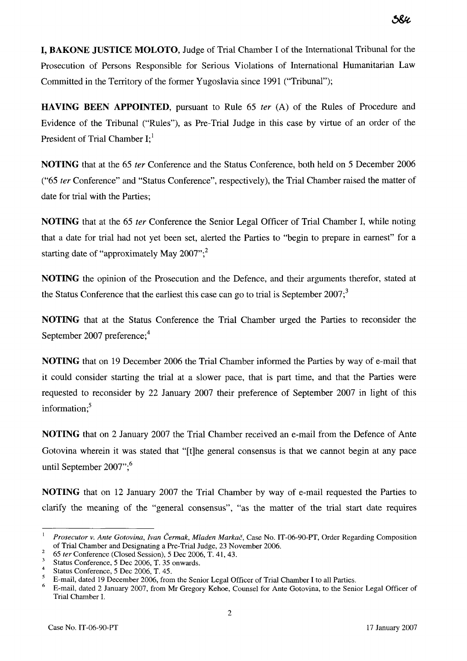1, BAKONE JUSTICE MOLOTO, Judge of Trial Charnber 1 of the International Tribunal for the Prosecution of Persons Responsible for Serious Violations of International Humanitarian Law Committed in the Territory of the former Yugoslavia since 1991 ("Tribunal");

HAVING BEEN APPOINTED, pursuant to Rule 65 *ter (A)* of the Rules of Procedure and Evidence of the Tribunal ("Rules"), as Pre-Trial Judge in this case by virtue of an order of the President of Trial Chamber I;<sup>1</sup>

NOTING that at the 65 *ter* Conference and the Status Conference, both held on 5 December 2006 ("65 *ter* Conference" and "Status Conference", respectively), the Trial Chamber raised the matter of date for trial with the Parties;

NOTING that at the 65 *ter* Conference the Senior Legal Officer of Trial Chamber 1, while noting that a date for trial had not yet been set, alerted the Parties to "begin to prepare in earnest" for a starting date of "approximately May  $2007$ ";<sup>2</sup>

NOTING the opinion of the Prosecution and the Defence, and their arguments therefor, stated at the Status Conference that the earliest this case can go to trial is September  $2007$ ;

NOTING that at the Status Conference the Trial Chamber urged the Parties to reconsider the September 2007 preference;<sup>4</sup>

NOTING that on 19 December 2006 the Trial Chamber informed the Parties by way of e-mail that it could consider starting the trial at a slower pace, that is part time, and that the Parties were requested to reconsider by 22 January 2007 their preference of September 2007 in light of this information: $5$ 

NOTING that on 2 January 2007 the Trial Charnber received an e-mail from the Defence of Ante Gotovina wherein it was stated that "[tlhe general consensus is that we cannot begin at any Pace until September  $2007$ ";<sup>6</sup>

NOTING that on 12 January 2007 the Trial Chamber by way of e-mail requested the Parties to clarify the meaning of the "general consensus", "as the matter of the trial start date requires

<sup>&</sup>lt;sup>1</sup> Prosecutor v. Ante Gotovina, Ivan Čermak, Mladen Markač, Case No. IT-06-90-PT, Order Regarding Composition of Trial Chamber and Designating a Pre-Trial Judge, 23 November 2006.

 $\overline{2}$ 65 *ter* Conference (Closed Session), 5 Dec 2006, T. 41,43.

Status Conference, 5 Dec 2006, T. 35 onwards.

 $\overline{4}$ 

Status Conference, 5 Dec 2006, T. 45.<br>E-mail, dated 19 December 2006, from the Senior Legal Officer of Trial Chamber I to all Parties.

<sup>&</sup>lt;sup>5</sup> E-mail, dated 19 December 2006, from the Senior Legal Officer of Trial Chamber I to all Parties.<br><sup>6</sup> E-mail, dated 2 January 2007, from Mr Gregory Kehoe, Counsel for Ante Gotovina, to the Senior Legal Officer of Trial Chamber 1.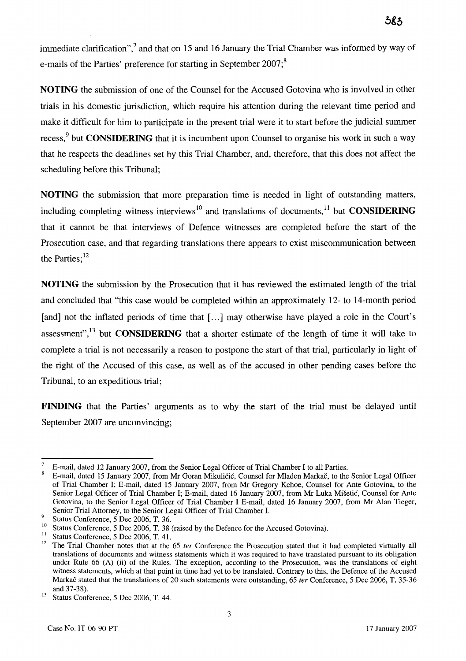immediate clarification", $^7$  and that on 15 and 16 January the Trial Chamber was informed by way of e-mails of the Parties' preference for starting in September  $2007$ ;<sup>8</sup>

**NOTING** the submission of one of the Counsel for the Accused Gotovina who is involved in other trials in his domestic jurisdiction, which require his attention during the relevant time period and make it difficult for him to participate in the present trial were it to start before the judicial summer recess,<sup>9</sup> but **CONSIDERING** that it is incumbent upon Counsel to organise his work in such a way that he respects the deadlines set by this Trial Chamber, and, therefore, that this does not affect the scheduling before this Tribunal;

**NOTING** the submission that more preparation time is needed in light of outstanding matters, including completing witness interviews<sup>10</sup> and translations of documents,<sup>11</sup> but **CONSIDERING** that it cannot be that interviews of Defence witnesses are completed before the start of the Prosecution case, and that regarding translations there appears to exist miscommunication between the Parties:<sup>12</sup>

**NOTING** the submission by the Prosecution that it has reviewed the estimated length of the trial and concluded that "this case would be completed within an approximately 12- to 14-month period [and] not the inflated periods of time that [...] may otherwise have played a role in the Court's assessment",<sup>13</sup> but **CONSIDERING** that a shorter estimate of the length of time it will take to complete a trial is not necessarily a reason to postpone the start of that trial, particularly in light of the right of the Accused of this case, as well as of the accused in other pending cases before the Tribunal, to an expeditious trial;

**FINDING** that the Parties' arguments as to why the start of the trial must be delayed until September 2007 are unconvincing;

<sup>7</sup>E-mail, dated 12 January 2007, from the Senior Legal Officer of Trial Chamber **1** to al1 Parties.

E-mail, dated 15 January 2007, from Mr Goran Mikuličić, Counsel for Mladen Markač, to the Senior Legal Officer of Trial Chamber **1;** E-mail, dated 15 January 2007, from Mr Gregory Kehoe, Counsel for Ante Gotovina, to the Senior Legal Officer of Trial Chamber I; E-mail, dated 16 January 2007, from Mr Luka Mišetić, Counsel for Ante Gotovina, to the Senior Legal Officer of Trial Chamber **1** E-mail, dated 16 January 2007, from Mr Alan Tieger, Senior Trial Attorney, to the Senior Legal Officer of Trial Chamber I. Status Conference, 5 Dec 2006, T. 36.

Status Conference, 5 Dec 2006, T. 36.<br>
<sup>10</sup>Status Conference, 5 Dec 2006, T. 38 (raised by the Defence for the Accused Gotovina).<br>
<sup>11</sup>Status Conference, 5 Dec 2006, T. 41.

<sup>&</sup>lt;sup>12</sup> The Trial Chamber notes that at the 65 *ter* Conference the Prosecution stated that it had completed virtually all translations of documents and witness statements which it was required to have translated pursuant to its obligation under Rule 66 (A) (ii) of the Rules. The exception, according to the Prosecution, was the translations of eight witness statements, which at that point in time had yet to be translated. Contrary to this, the Defence of the Accused Markac stated that the translations of 20 such statements were outstanding, 65 *ter* Conference, 5 Dec 2006, T. 35-36 and 37-38).<br><sup>13</sup> Status Conference, 5 Dec 2006, T. 44.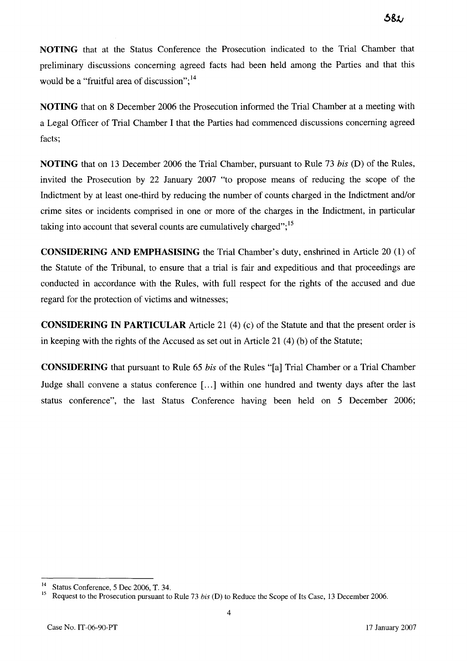**NOTING** that at the Status Conference the Prosecution indicated to the Trial Chamber that preliminary discussions concerning agreed facts had been held among the Parties and that this would be a "fruitful area of discussion"; $^{14}$ 

**NOTING** that on **8** December 2006 the Prosecution informed the Trial Chamber at a meeting with a Legal Officer of Trial Chamber **1** that the Parties had commenced discussions concerning agreed facts;

**NOTING** that on **13** December 2006 the Trial Chamber, pursuant to Rule 73 *bis* (D) of the Rules, invited the Prosecution by 22 January 2007 "to propose means of reducing the scope of the Indictment by at least one-third by reducing the number of counts charged in the Indictment and/or crime sites or incidents comprised in one or more of the charges in the Indictment, in particular taking into account that several counts are cumulatively charged";<sup>15</sup>

**CONSIDERING AND EMPHASISING** the Trial Chamber's duty, enshtined in Article 20 (1) of the Statute of the Tribunal, to ensure that a trial is fair and expeditious and that proceedings are conducted in accordance with the Rules, with full respect for the rights of the accused and due regard for the protection of victims and witnesses;

**CONSIDERING IN PARTICULAR** Article 21 **(4)** (c) of the Statute and that the present order is in keeping with the rights of the Accused as set out in Article 21 (4) (b) of the Statute;

**CONSIDERING** that pursuant to Rule 65 *bis* of the Rules "[a] Trial Chamber or a Trial Chamber Judge shall convene a status conference [...] within one hundred and twenty days after the last status conference", the last Status Conference having been held on 5 December 2006;

<sup>&</sup>lt;sup>14</sup> Status Conference, 5 Dec 2006, T. 34.

Request to the Prosecution pursuant to Rule 73 bis (D) to Reduce the Scope of Its Case, 13 December 2006.